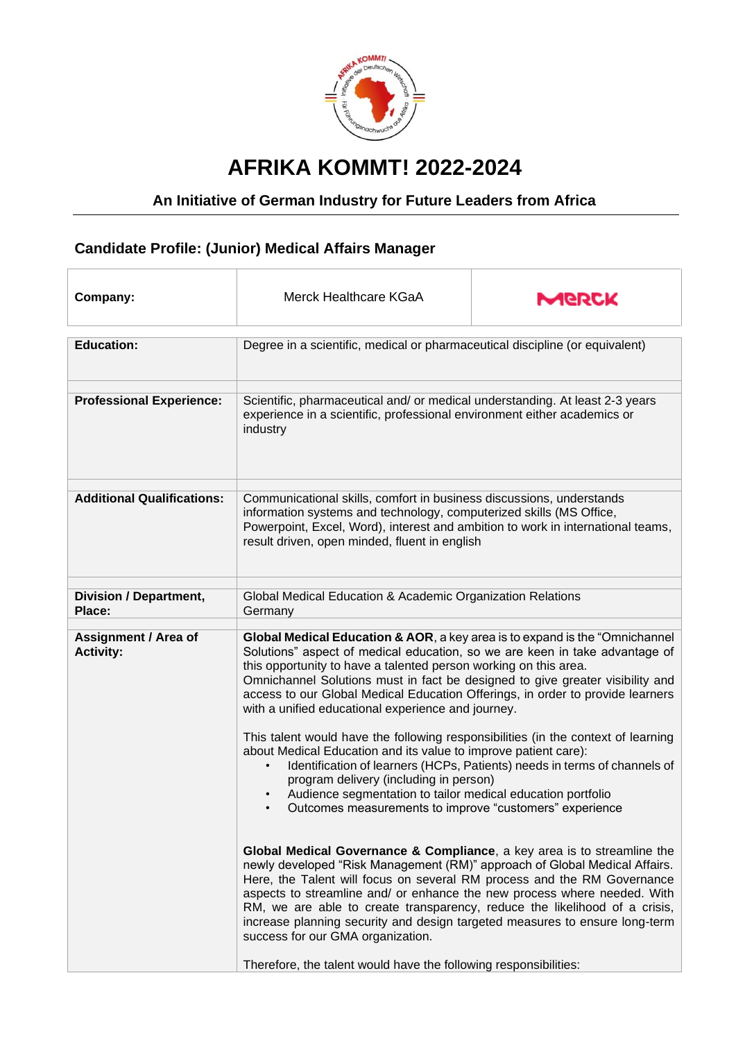

## **AFRIKA KOMMT! 2022-2024**

## **An Initiative of German Industry for Future Leaders from Africa**

## **Candidate Profile: (Junior) Medical Affairs Manager**

| Company:                                        | Merck Healthcare KGaA                                                                                                                                                                                                                                                                                                                                                                                                                                                                                                                                                                                                                                                                                                                                                                                                                                                                                                                                                                                                                                                                                                                                                                                                                                                                                                                                                                                         | MERCK |
|-------------------------------------------------|---------------------------------------------------------------------------------------------------------------------------------------------------------------------------------------------------------------------------------------------------------------------------------------------------------------------------------------------------------------------------------------------------------------------------------------------------------------------------------------------------------------------------------------------------------------------------------------------------------------------------------------------------------------------------------------------------------------------------------------------------------------------------------------------------------------------------------------------------------------------------------------------------------------------------------------------------------------------------------------------------------------------------------------------------------------------------------------------------------------------------------------------------------------------------------------------------------------------------------------------------------------------------------------------------------------------------------------------------------------------------------------------------------------|-------|
| <b>Education:</b>                               | Degree in a scientific, medical or pharmaceutical discipline (or equivalent)                                                                                                                                                                                                                                                                                                                                                                                                                                                                                                                                                                                                                                                                                                                                                                                                                                                                                                                                                                                                                                                                                                                                                                                                                                                                                                                                  |       |
| <b>Professional Experience:</b>                 | Scientific, pharmaceutical and/ or medical understanding. At least 2-3 years<br>experience in a scientific, professional environment either academics or<br>industry                                                                                                                                                                                                                                                                                                                                                                                                                                                                                                                                                                                                                                                                                                                                                                                                                                                                                                                                                                                                                                                                                                                                                                                                                                          |       |
| <b>Additional Qualifications:</b>               | Communicational skills, comfort in business discussions, understands<br>information systems and technology, computerized skills (MS Office,<br>Powerpoint, Excel, Word), interest and ambition to work in international teams,<br>result driven, open minded, fluent in english                                                                                                                                                                                                                                                                                                                                                                                                                                                                                                                                                                                                                                                                                                                                                                                                                                                                                                                                                                                                                                                                                                                               |       |
| <b>Division / Department,</b><br>Place:         | Global Medical Education & Academic Organization Relations<br>Germany                                                                                                                                                                                                                                                                                                                                                                                                                                                                                                                                                                                                                                                                                                                                                                                                                                                                                                                                                                                                                                                                                                                                                                                                                                                                                                                                         |       |
| <b>Assignment / Area of</b><br><b>Activity:</b> | Global Medical Education & AOR, a key area is to expand is the "Omnichannel"<br>Solutions" aspect of medical education, so we are keen in take advantage of<br>this opportunity to have a talented person working on this area.<br>Omnichannel Solutions must in fact be designed to give greater visibility and<br>access to our Global Medical Education Offerings, in order to provide learners<br>with a unified educational experience and journey.<br>This talent would have the following responsibilities (in the context of learning<br>about Medical Education and its value to improve patient care):<br>Identification of learners (HCPs, Patients) needs in terms of channels of<br>$\bullet$<br>program delivery (including in person)<br>Audience segmentation to tailor medical education portfolio<br>Outcomes measurements to improve "customers" experience<br>$\bullet$<br>Global Medical Governance & Compliance, a key area is to streamline the<br>newly developed "Risk Management (RM)" approach of Global Medical Affairs.<br>Here, the Talent will focus on several RM process and the RM Governance<br>aspects to streamline and/ or enhance the new process where needed. With<br>RM, we are able to create transparency, reduce the likelihood of a crisis,<br>increase planning security and design targeted measures to ensure long-term<br>success for our GMA organization. |       |
|                                                 | Therefore, the talent would have the following responsibilities:                                                                                                                                                                                                                                                                                                                                                                                                                                                                                                                                                                                                                                                                                                                                                                                                                                                                                                                                                                                                                                                                                                                                                                                                                                                                                                                                              |       |